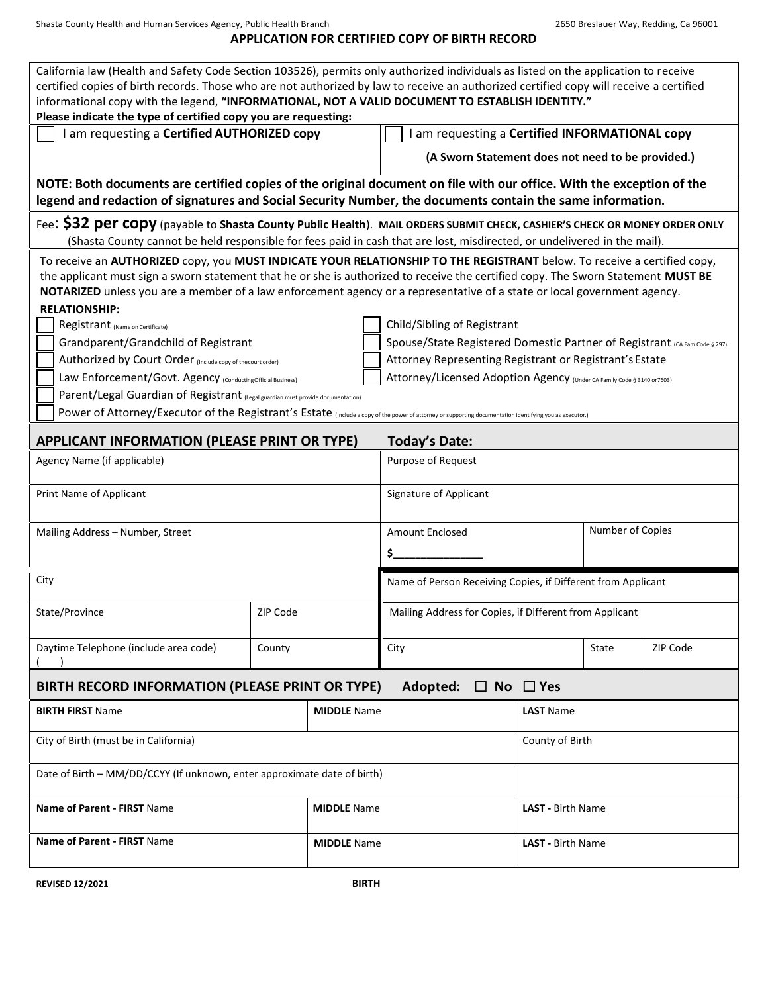Shasta County Health and Human Services Agency, Public Health Branch 2650 Breslauer Way, Redding, Ca 96001

## **APPLICATION FOR CERTIFIED COPY OF BIRTH RECORD**

| California law (Health and Safety Code Section 103526), permits only authorized individuals as listed on the application to receive<br>certified copies of birth records. Those who are not authorized by law to receive an authorized certified copy will receive a certified<br>informational copy with the legend, "INFORMATIONAL, NOT A VALID DOCUMENT TO ESTABLISH IDENTITY."        |        |                                                         |                                                                                                           |                          |                  |          |  |
|-------------------------------------------------------------------------------------------------------------------------------------------------------------------------------------------------------------------------------------------------------------------------------------------------------------------------------------------------------------------------------------------|--------|---------------------------------------------------------|-----------------------------------------------------------------------------------------------------------|--------------------------|------------------|----------|--|
| Please indicate the type of certified copy you are requesting:                                                                                                                                                                                                                                                                                                                            |        |                                                         |                                                                                                           |                          |                  |          |  |
| I am requesting a Certified AUTHORIZED copy                                                                                                                                                                                                                                                                                                                                               |        |                                                         | I am requesting a Certified INFORMATIONAL copy                                                            |                          |                  |          |  |
|                                                                                                                                                                                                                                                                                                                                                                                           |        |                                                         | (A Sworn Statement does not need to be provided.)                                                         |                          |                  |          |  |
| NOTE: Both documents are certified copies of the original document on file with our office. With the exception of the<br>legend and redaction of signatures and Social Security Number, the documents contain the same information.                                                                                                                                                       |        |                                                         |                                                                                                           |                          |                  |          |  |
| Fee: \$32 per copy (payable to Shasta County Public Health). MAIL ORDERS SUBMIT CHECK, CASHIER'S CHECK OR MONEY ORDER ONLY                                                                                                                                                                                                                                                                |        |                                                         |                                                                                                           |                          |                  |          |  |
| (Shasta County cannot be held responsible for fees paid in cash that are lost, misdirected, or undelivered in the mail).                                                                                                                                                                                                                                                                  |        |                                                         |                                                                                                           |                          |                  |          |  |
| To receive an AUTHORIZED copy, you MUST INDICATE YOUR RELATIONSHIP TO THE REGISTRANT below. To receive a certified copy,<br>the applicant must sign a sworn statement that he or she is authorized to receive the certified copy. The Sworn Statement MUST BE<br>NOTARIZED unless you are a member of a law enforcement agency or a representative of a state or local government agency. |        |                                                         |                                                                                                           |                          |                  |          |  |
| <b>RELATIONSHIP:</b>                                                                                                                                                                                                                                                                                                                                                                      |        |                                                         |                                                                                                           |                          |                  |          |  |
| Registrant (Name on Certificate)<br>Grandparent/Grandchild of Registrant                                                                                                                                                                                                                                                                                                                  |        |                                                         | Child/Sibling of Registrant<br>Spouse/State Registered Domestic Partner of Registrant (CA Fam Code § 297) |                          |                  |          |  |
| Authorized by Court Order (Include copy of the court order)                                                                                                                                                                                                                                                                                                                               |        |                                                         | Attorney Representing Registrant or Registrant's Estate                                                   |                          |                  |          |  |
| Law Enforcement/Govt. Agency (Conducting Official Business)                                                                                                                                                                                                                                                                                                                               |        |                                                         | Attorney/Licensed Adoption Agency (Under CA Family Code § 3140 or 7603)                                   |                          |                  |          |  |
| Parent/Legal Guardian of Registrant (Legal guardian must provide documentation)                                                                                                                                                                                                                                                                                                           |        |                                                         |                                                                                                           |                          |                  |          |  |
| Power of Attorney/Executor of the Registrant's Estate (Include a copy of the power of attorney or supporting documentation identifying you as executor.)                                                                                                                                                                                                                                  |        |                                                         |                                                                                                           |                          |                  |          |  |
| <b>APPLICANT INFORMATION (PLEASE PRINT OR TYPE)</b>                                                                                                                                                                                                                                                                                                                                       |        |                                                         | <b>Today's Date:</b>                                                                                      |                          |                  |          |  |
| Agency Name (if applicable)                                                                                                                                                                                                                                                                                                                                                               |        |                                                         | Purpose of Request                                                                                        |                          |                  |          |  |
| Print Name of Applicant                                                                                                                                                                                                                                                                                                                                                                   |        |                                                         | Signature of Applicant                                                                                    |                          |                  |          |  |
| Mailing Address - Number, Street                                                                                                                                                                                                                                                                                                                                                          |        |                                                         | <b>Amount Enclosed</b>                                                                                    |                          | Number of Copies |          |  |
|                                                                                                                                                                                                                                                                                                                                                                                           |        |                                                         | \$                                                                                                        |                          |                  |          |  |
| City                                                                                                                                                                                                                                                                                                                                                                                      |        |                                                         | Name of Person Receiving Copies, if Different from Applicant                                              |                          |                  |          |  |
| ZIP Code<br>State/Province                                                                                                                                                                                                                                                                                                                                                                |        | Mailing Address for Copies, if Different from Applicant |                                                                                                           |                          |                  |          |  |
| Daytime Telephone (include area code)                                                                                                                                                                                                                                                                                                                                                     | County |                                                         | City                                                                                                      |                          | State            | ZIP Code |  |
| BIRTH RECORD INFORMATION (PLEASE PRINT OR TYPE)                                                                                                                                                                                                                                                                                                                                           |        |                                                         | Adopted:                                                                                                  | $\Box$ No $\Box$ Yes     |                  |          |  |
| <b>BIRTH FIRST Name</b>                                                                                                                                                                                                                                                                                                                                                                   |        | <b>MIDDLE</b> Name                                      |                                                                                                           | <b>LAST Name</b>         |                  |          |  |
| City of Birth (must be in California)                                                                                                                                                                                                                                                                                                                                                     |        |                                                         |                                                                                                           | County of Birth          |                  |          |  |
| Date of Birth - MM/DD/CCYY (If unknown, enter approximate date of birth)                                                                                                                                                                                                                                                                                                                  |        |                                                         |                                                                                                           |                          |                  |          |  |
| Name of Parent - FIRST Name                                                                                                                                                                                                                                                                                                                                                               |        | <b>MIDDLE</b> Name                                      | <b>LAST</b> - Birth Name                                                                                  |                          |                  |          |  |
| Name of Parent - FIRST Name                                                                                                                                                                                                                                                                                                                                                               |        | <b>MIDDLE</b> Name                                      |                                                                                                           | <b>LAST</b> - Birth Name |                  |          |  |

**REVISED 12/2021 BIRTH**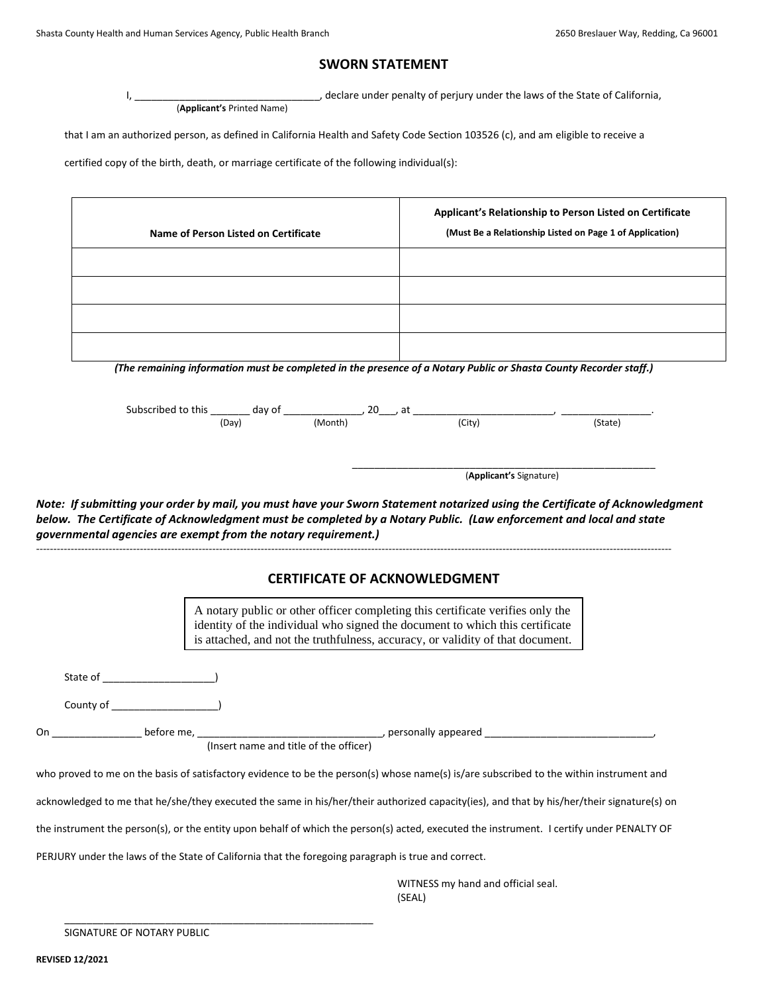## **SWORN STATEMENT**

I, \_\_\_\_\_\_\_\_\_\_\_\_\_\_\_\_\_\_\_\_\_\_\_\_\_\_\_\_\_\_\_\_\_, declare under penalty of perjury under the laws of the State of California, (**Applicant's** Printed Name)

that I am an authorized person, as defined in California Health and Safety Code Section 103526 (c), and am eligible to receive a

certified copy of the birth, death, or marriage certificate of the following individual(s):

|                                           |                                                                                                     |                                        |                                                                                                                                                                | Applicant's Relationship to Person Listed on Certificate                                                                                   |  |  |
|-------------------------------------------|-----------------------------------------------------------------------------------------------------|----------------------------------------|----------------------------------------------------------------------------------------------------------------------------------------------------------------|--------------------------------------------------------------------------------------------------------------------------------------------|--|--|
|                                           | Name of Person Listed on Certificate                                                                |                                        | (Must Be a Relationship Listed on Page 1 of Application)                                                                                                       |                                                                                                                                            |  |  |
|                                           |                                                                                                     |                                        |                                                                                                                                                                |                                                                                                                                            |  |  |
|                                           |                                                                                                     |                                        |                                                                                                                                                                |                                                                                                                                            |  |  |
|                                           |                                                                                                     |                                        |                                                                                                                                                                |                                                                                                                                            |  |  |
|                                           |                                                                                                     |                                        |                                                                                                                                                                |                                                                                                                                            |  |  |
|                                           |                                                                                                     |                                        | (The remaining information must be completed in the presence of a Notary Public or Shasta County Recorder staff.)                                              |                                                                                                                                            |  |  |
|                                           |                                                                                                     |                                        |                                                                                                                                                                |                                                                                                                                            |  |  |
|                                           |                                                                                                     |                                        | Subscribed to this $\frac{1}{(\text{Day})}$ day of $\frac{1}{(\text{Month})}$ , 20 is at $\frac{1}{(\text{City})}$ at $\frac{1}{(\text{City})}$ (State)        |                                                                                                                                            |  |  |
|                                           |                                                                                                     |                                        |                                                                                                                                                                |                                                                                                                                            |  |  |
|                                           |                                                                                                     |                                        |                                                                                                                                                                |                                                                                                                                            |  |  |
|                                           |                                                                                                     |                                        | (Applicant's Signature)                                                                                                                                        |                                                                                                                                            |  |  |
|                                           |                                                                                                     | <b>CERTIFICATE OF ACKNOWLEDGMENT</b>   |                                                                                                                                                                |                                                                                                                                            |  |  |
|                                           |                                                                                                     |                                        | A notary public or other officer completing this certificate verifies only the<br>identity of the individual who signed the document to which this certificate |                                                                                                                                            |  |  |
|                                           |                                                                                                     |                                        | is attached, and not the truthfulness, accuracy, or validity of that document.                                                                                 |                                                                                                                                            |  |  |
|                                           |                                                                                                     |                                        |                                                                                                                                                                |                                                                                                                                            |  |  |
|                                           |                                                                                                     |                                        |                                                                                                                                                                |                                                                                                                                            |  |  |
|                                           |                                                                                                     |                                        |                                                                                                                                                                |                                                                                                                                            |  |  |
|                                           |                                                                                                     |                                        |                                                                                                                                                                |                                                                                                                                            |  |  |
| On _____________________ before me, _____ |                                                                                                     |                                        |                                                                                                                                                                |                                                                                                                                            |  |  |
|                                           |                                                                                                     | (Insert name and title of the officer) |                                                                                                                                                                |                                                                                                                                            |  |  |
|                                           |                                                                                                     |                                        | who proved to me on the basis of satisfactory evidence to be the person(s) whose name(s) is/are subscribed to the within instrument and                        |                                                                                                                                            |  |  |
|                                           |                                                                                                     |                                        |                                                                                                                                                                | acknowledged to me that he/she/they executed the same in his/her/their authorized capacity(ies), and that by his/her/their signature(s) on |  |  |
|                                           |                                                                                                     |                                        |                                                                                                                                                                | the instrument the person(s), or the entity upon behalf of which the person(s) acted, executed the instrument. I certify under PENALTY OF  |  |  |
|                                           | PERJURY under the laws of the State of California that the foregoing paragraph is true and correct. |                                        |                                                                                                                                                                |                                                                                                                                            |  |  |

WITNESS my hand and official seal. (SEAL)

SIGNATURE OF NOTARY PUBLIC

\_\_\_\_\_\_\_\_\_\_\_\_\_\_\_\_\_\_\_\_\_\_\_\_\_\_\_\_\_\_\_\_\_\_\_\_\_\_\_\_\_\_\_\_\_\_\_\_\_\_\_\_\_\_\_